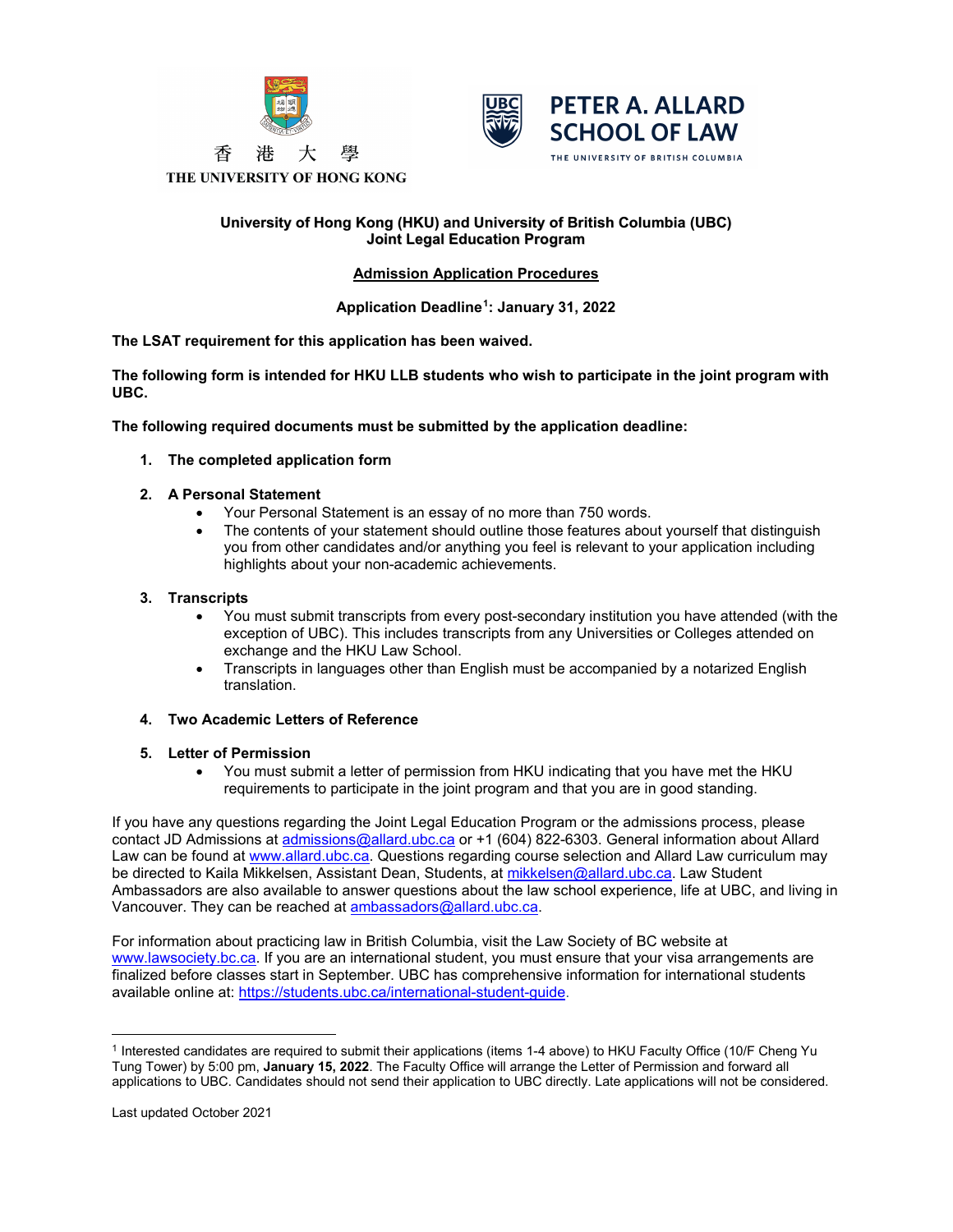



## **University of Hong Kong (HKU) and University of British Columbia (UBC) Joint Legal Education Program**

# **Admission Application Procedures**

**Application Deadline[1](#page-0-0) : January 31, 2022**

## **The LSAT requirement for this application has been waived.**

**The following form is intended for HKU LLB students who wish to participate in the joint program with UBC.** 

**The following required documents must be submitted by the application deadline:**

- **1. The completed application form**
- **2. A Personal Statement**
	- Your Personal Statement is an essay of no more than 750 words.
	- The contents of your statement should outline those features about yourself that distinguish you from other candidates and/or anything you feel is relevant to your application including highlights about your non-academic achievements.

## **3. Transcripts**

- You must submit transcripts from every post-secondary institution you have attended (with the exception of UBC). This includes transcripts from any Universities or Colleges attended on exchange and the HKU Law School.
- Transcripts in languages other than English must be accompanied by a notarized English translation.

## **4. Two Academic Letters of Reference**

## **5. Letter of Permission**

• You must submit a letter of permission from HKU indicating that you have met the HKU requirements to participate in the joint program and that you are in good standing.

If you have any questions regarding the Joint Legal Education Program or the admissions process, please contact JD Admissions at [admissions@allard.ubc.ca](mailto:admissions@allard.ubc.ca) or +1 (604) 822-6303. General information about Allard Law can be found at [www.allard.ubc.ca.](http://www.allard.ubc.ca/) Questions regarding course selection and Allard Law curriculum may be directed to Kaila Mikkelsen, Assistant Dean, Students, at [mikkelsen@allard.ubc.ca.](mailto:mikkelsen@allard.ubc.ca) Law Student Ambassadors are also available to answer questions about the law school experience, life at UBC, and living in Vancouver. They can be reached at [ambassadors@allard.ubc.ca.](mailto:ambassadors@allard.ubc.ca)

For information about practicing law in British Columbia, visit the Law Society of BC website at [www.lawsociety.bc.ca.](http://www.lawsociety.bc.ca/) If you are an international student, you must ensure that your visa arrangements are finalized before classes start in September. UBC has comprehensive information for international students available online at: [https://students.ubc.ca/international-student-guide.](https://students.ubc.ca/international-student-guide)

<span id="page-0-0"></span> $\overline{a}$  $1$  Interested candidates are required to submit their applications (items 1-4 above) to HKU Faculty Office (10/F Cheng Yu Tung Tower) by 5:00 pm, **January 15, 2022**. The Faculty Office will arrange the Letter of Permission and forward all applications to UBC. Candidates should not send their application to UBC directly. Late applications will not be considered.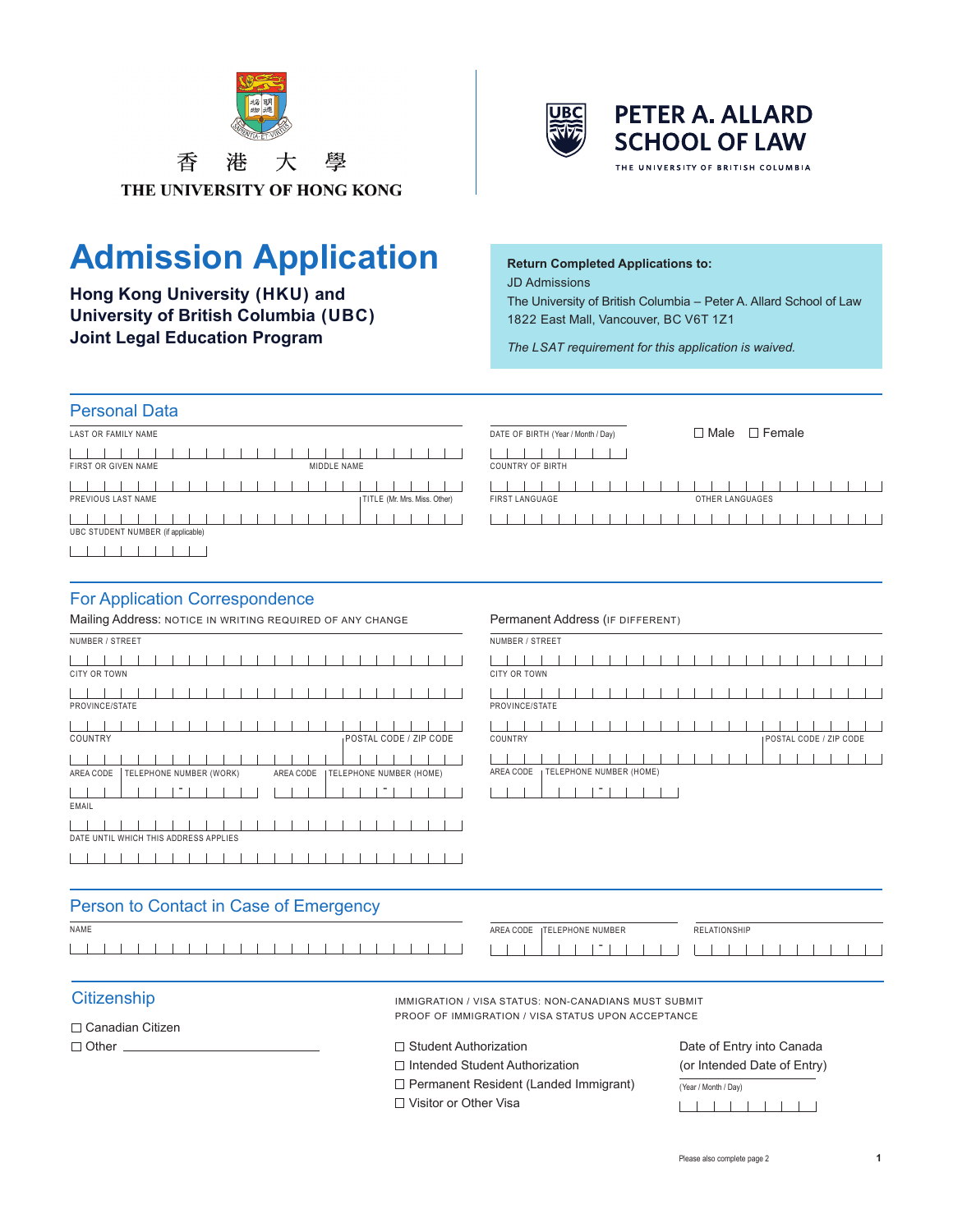



**Hong Kong University (HKU) and University of British Columbia (UBC) Joint Legal Education Program**



# **Return Completed Applications to:**

JD Admissions

The University of British Columbia – Peter A. Allard School of Law 1822 East Mall, Vancouver, BC V6T 1Z1

*The LSAT requirement for this application is waived.*

| <b>Personal Data</b>                                 |                                    |                          |
|------------------------------------------------------|------------------------------------|--------------------------|
| LAST OR FAMILY NAME                                  | DATE OF BIRTH (Year / Month / Day) | Female<br>$\square$ Male |
| FIRST OR GIVEN NAME<br>MIDDLE NAME                   | <b>COUNTRY OF BIRTH</b>            |                          |
| PREVIOUS LAST NAME<br>  TITLE (Mr. Mrs. Miss. Other) | FIRST LANGUAGE                     | OTHER LANGUAGES          |
| UBC STUDENT NUMBER (if applicable)                   |                                    |                          |
|                                                      |                                    |                          |

# For Application Correspondence

| Mailing Address: NOTICE IN WRITING REQUIRED OF ANY CHANGE |                                              |  |  |  |
|-----------------------------------------------------------|----------------------------------------------|--|--|--|
| NUMBER / STREET                                           |                                              |  |  |  |
| CITY OR TOWN                                              |                                              |  |  |  |
| PROVINCE/STATE                                            |                                              |  |  |  |
| COUNTRY                                                   | POSTAL CODE / ZIP CODE                       |  |  |  |
| AREA CODE<br>TELEPHONE NUMBER (WORK)                      | AREA CODE<br><b> TELEPHONE NUMBER (HOME)</b> |  |  |  |
| EMAIL                                                     |                                              |  |  |  |
| DATE UNTIL WHICH THIS ADDRESS APPLIES                     |                                              |  |  |  |
|                                                           |                                              |  |  |  |

| Permanent Address (IF DIFFERENT)                  |  |  |  |  |  |  |
|---------------------------------------------------|--|--|--|--|--|--|
| NUMBER / STREET                                   |  |  |  |  |  |  |
| <b>CITY OR TOWN</b>                               |  |  |  |  |  |  |
| PROVINCE/STATE                                    |  |  |  |  |  |  |
| COUNTRY<br><b>I POSTAL CODE / ZIP CODE</b>        |  |  |  |  |  |  |
| AREA CODE<br><sub>I</sub> TELEPHONE NUMBER (HOME) |  |  |  |  |  |  |

| Person to Contact in Case of Emergency |                                                           |                                              |                         |                                                                                  |  |  |                     |  |  |  |  |  |
|----------------------------------------|-----------------------------------------------------------|----------------------------------------------|-------------------------|----------------------------------------------------------------------------------|--|--|---------------------|--|--|--|--|--|
| NAME                                   |                                                           | AREA CODE                                    | <b>TELEPHONE NUMBER</b> |                                                                                  |  |  | <b>RELATIONSHIP</b> |  |  |  |  |  |
|                                        |                                                           |                                              |                         |                                                                                  |  |  |                     |  |  |  |  |  |
| Citizenship                            | IMMIGRATION / VISA STATUS: NON-CANADIANS MUST SUBMIT      |                                              |                         |                                                                                  |  |  |                     |  |  |  |  |  |
| $\Box$ Canadian Citizen                | <b>PROOF OF IMMIGRATION / VISA STATUS UPON ACCEPTANCE</b> |                                              |                         |                                                                                  |  |  |                     |  |  |  |  |  |
| $\Box$ Other                           | $\Box$ Student Authorization                              |                                              |                         | Date of Entry into Canada<br>(or Intended Date of Entry)<br>(Year / Month / Day) |  |  |                     |  |  |  |  |  |
|                                        |                                                           | $\Box$ Intended Student Authorization        |                         |                                                                                  |  |  |                     |  |  |  |  |  |
|                                        |                                                           | $\Box$ Permanent Resident (Landed Immigrant) |                         |                                                                                  |  |  |                     |  |  |  |  |  |
|                                        | $\sqcap$ Visitor or Other Visa                            |                                              |                         |                                                                                  |  |  |                     |  |  |  |  |  |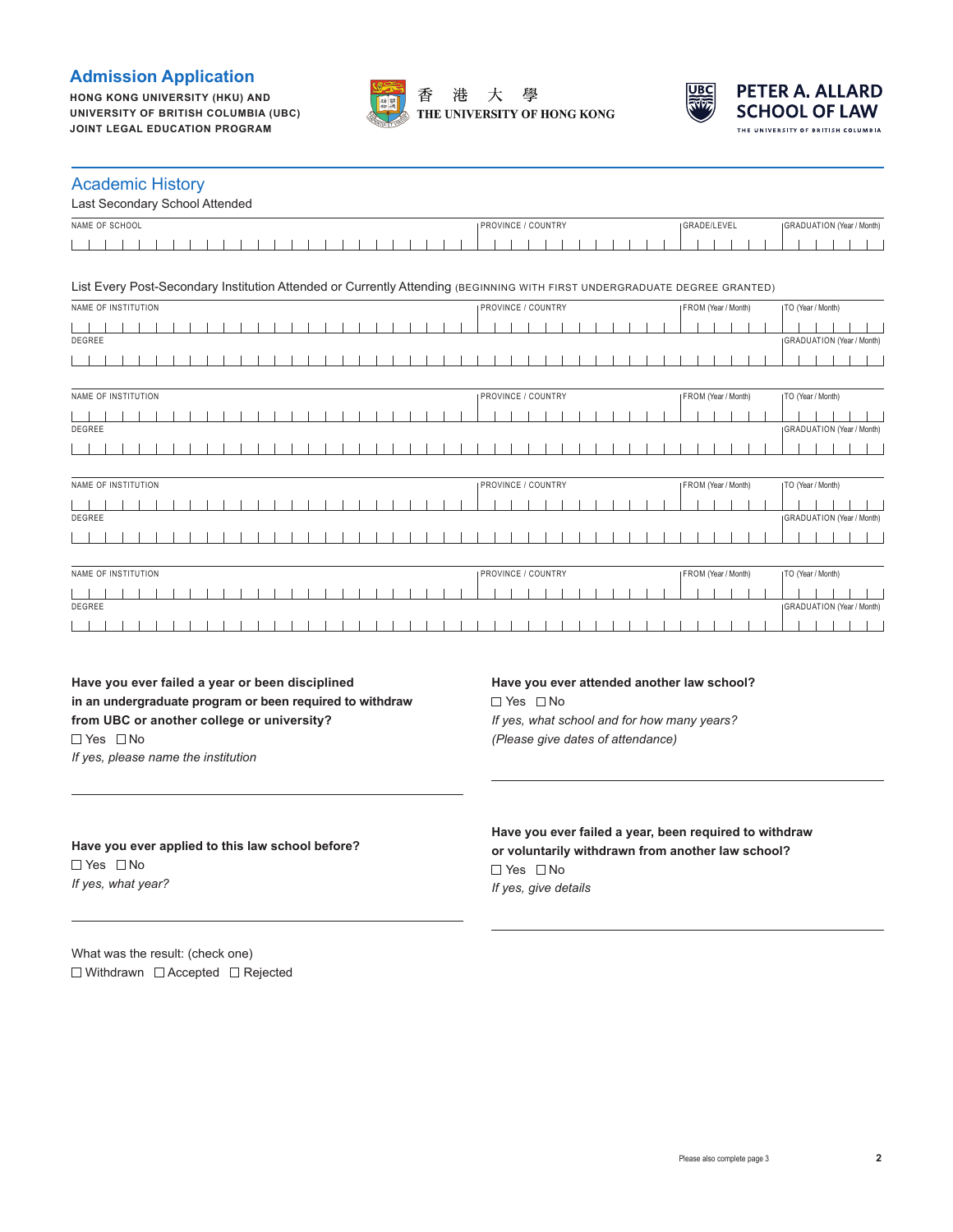# **Admission Application**

**HONG KONG UNIVERSITY (HKU) AND UNIVERSITY OF BRITISH COLUMBIA (UBC) JOINT LEGAL EDUCATION PROGRAM**



香

港 大 學 THE UNIVERSITY OF HONG KONG



**PETER A. ALLARD SCHOOL OF LAW** THE UNIVERSITY OF BRITISH COLUMBIA

#### Academic History

| Last Secondary School Attended                                                                                            |                           |                                                   |
|---------------------------------------------------------------------------------------------------------------------------|---------------------------|---------------------------------------------------|
| NAME OF SCHOOL                                                                                                            | <b>PROVINCE / COUNTRY</b> | <b>IGRADE/LEVEL</b><br>(GRADUATION (Year / Month) |
|                                                                                                                           |                           |                                                   |
| List Every Post-Secondary Institution Attended or Currently Attending (BEGINNING WITH FIRST UNDERGRADUATE DEGREE GRANTED) |                           |                                                   |
| NAME OF INSTITUTION                                                                                                       | <b>PROVINCE / COUNTRY</b> | FROM (Year / Month)<br>  TO (Year / Month)        |
| DEGREE                                                                                                                    |                           | (GRADUATION (Year / Month)                        |
|                                                                                                                           |                           |                                                   |
| NAME OF INSTITUTION                                                                                                       | <b>PROVINCE / COUNTRY</b> | <b>IFROM</b> (Year / Month)<br>TO (Year / Month)  |
| DEGREE                                                                                                                    |                           | (GRADUATION (Year / Month)                        |
|                                                                                                                           |                           |                                                   |
| NAME OF INSTITUTION                                                                                                       | <b>PROVINCE / COUNTRY</b> | FROM (Year / Month)<br>  TO (Year / Month)        |
| DEGREE                                                                                                                    |                           | (GRADUATION (Year / Month)                        |
|                                                                                                                           |                           |                                                   |
| NAME OF INSTITUTION                                                                                                       | <b>PROVINCE / COUNTRY</b> | FROM (Year / Month)<br>TO (Year / Month)          |
| DEGREE                                                                                                                    |                           | (GRADUATION (Year / Month)                        |
|                                                                                                                           |                           |                                                   |

**Have you ever failed a year or been disciplined in an undergraduate program or been required to withdraw from UBC or another college or university?**  $\Box$  Yes  $\Box$  No *If yes, please name the institution*

#### **Have you ever attended another law school?**  $\Box$  Yes  $\Box$  No *If yes, what school and for how many years? (Please give dates of attendance)*

**Have you ever applied to this law school before?**  $\Box$  Yes  $\Box$  No *If yes, what year?*

**Have you ever failed a year, been required to withdraw or voluntarily withdrawn from another law school?**  $\Box$  Yes  $\Box$  No *If yes, give details*

What was the result: (check one)  $\Box$  Withdrawn  $\Box$  Accepted  $\Box$  Rejected